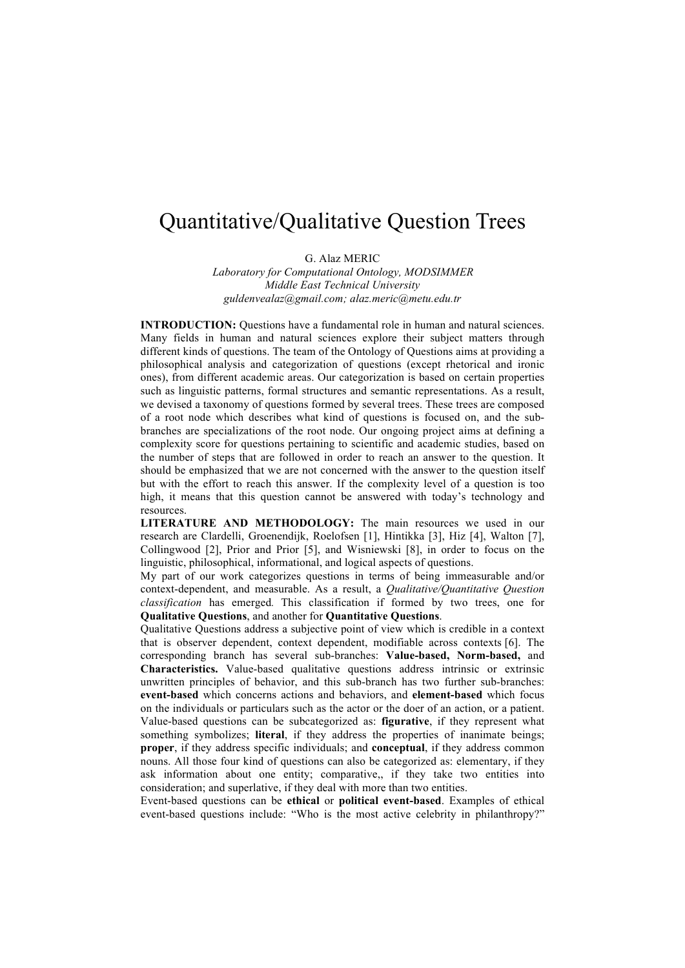## Quantitative/Qualitative Question Trees

G. Alaz MERIC

*Laboratory for Computational Ontology, MODSIMMER Middle East Technical University guldenvealaz@gmail.com; alaz.meric@metu.edu.tr*

**INTRODUCTION:** Ouestions have a fundamental role in human and natural sciences. Many fields in human and natural sciences explore their subject matters through different kinds of questions. The team of the Ontology of Questions aims at providing a philosophical analysis and categorization of questions (except rhetorical and ironic ones), from different academic areas. Our categorization is based on certain properties such as linguistic patterns, formal structures and semantic representations. As a result, we devised a taxonomy of questions formed by several trees. These trees are composed of a root node which describes what kind of questions is focused on, and the subbranches are specializations of the root node. Our ongoing project aims at defining a complexity score for questions pertaining to scientific and academic studies, based on the number of steps that are followed in order to reach an answer to the question. It should be emphasized that we are not concerned with the answer to the question itself but with the effort to reach this answer. If the complexity level of a question is too high, it means that this question cannot be answered with today's technology and resources.

**LITERATURE AND METHODOLOGY:** The main resources we used in our research are Clardelli, Groenendijk, Roelofsen [1], Hintikka [3], Hiz [4], Walton [7], Collingwood [2], Prior and Prior [5], and Wisniewski [8], in order to focus on the linguistic, philosophical, informational, and logical aspects of questions.

My part of our work categorizes questions in terms of being immeasurable and/or context-dependent, and measurable. As a result, a *Qualitative/Quantitative Question classification* has emerged*.* This classification if formed by two trees, one for **Qualitative Questions**, and another for **Quantitative Questions**.

Qualitative Questions address a subjective point of view which is credible in a context that is observer dependent, context dependent, modifiable across contexts [6]. The corresponding branch has several sub-branches: **Value-based, Norm-based,** and **Characteristics.** Value-based qualitative questions address intrinsic or extrinsic unwritten principles of behavior, and this sub-branch has two further sub-branches: **event-based** which concerns actions and behaviors, and **element-based** which focus on the individuals or particulars such as the actor or the doer of an action, or a patient. Value-based questions can be subcategorized as: **figurative**, if they represent what something symbolizes; **literal**, if they address the properties of inanimate beings; **proper**, if they address specific individuals; and **conceptual**, if they address common nouns. All those four kind of questions can also be categorized as: elementary, if they ask information about one entity; comparative,, if they take two entities into consideration; and superlative, if they deal with more than two entities.

Event-based questions can be **ethical** or **political event-based**. Examples of ethical event-based questions include: "Who is the most active celebrity in philanthropy?"